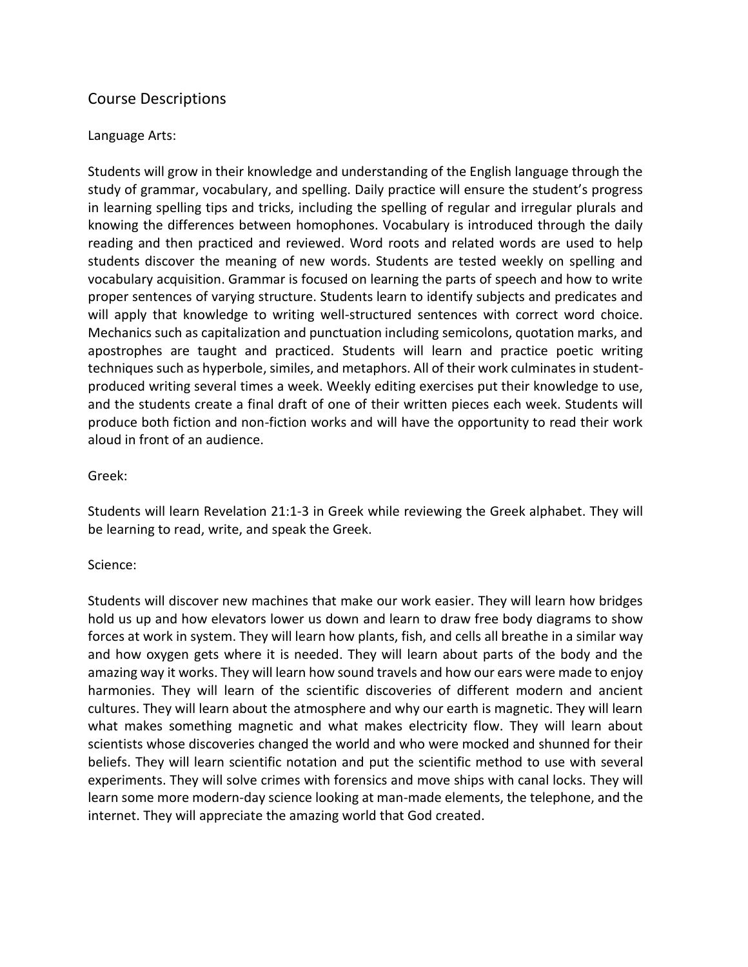# Course Descriptions

## Language Arts:

Students will grow in their knowledge and understanding of the English language through the study of grammar, vocabulary, and spelling. Daily practice will ensure the student's progress in learning spelling tips and tricks, including the spelling of regular and irregular plurals and knowing the differences between homophones. Vocabulary is introduced through the daily reading and then practiced and reviewed. Word roots and related words are used to help students discover the meaning of new words. Students are tested weekly on spelling and vocabulary acquisition. Grammar is focused on learning the parts of speech and how to write proper sentences of varying structure. Students learn to identify subjects and predicates and will apply that knowledge to writing well-structured sentences with correct word choice. Mechanics such as capitalization and punctuation including semicolons, quotation marks, and apostrophes are taught and practiced. Students will learn and practice poetic writing techniques such as hyperbole, similes, and metaphors. All of their work culminates in studentproduced writing several times a week. Weekly editing exercises put their knowledge to use, and the students create a final draft of one of their written pieces each week. Students will produce both fiction and non-fiction works and will have the opportunity to read their work aloud in front of an audience.

## Greek:

Students will learn Revelation 21:1-3 in Greek while reviewing the Greek alphabet. They will be learning to read, write, and speak the Greek.

#### Science:

Students will discover new machines that make our work easier. They will learn how bridges hold us up and how elevators lower us down and learn to draw free body diagrams to show forces at work in system. They will learn how plants, fish, and cells all breathe in a similar way and how oxygen gets where it is needed. They will learn about parts of the body and the amazing way it works. They will learn how sound travels and how our ears were made to enjoy harmonies. They will learn of the scientific discoveries of different modern and ancient cultures. They will learn about the atmosphere and why our earth is magnetic. They will learn what makes something magnetic and what makes electricity flow. They will learn about scientists whose discoveries changed the world and who were mocked and shunned for their beliefs. They will learn scientific notation and put the scientific method to use with several experiments. They will solve crimes with forensics and move ships with canal locks. They will learn some more modern-day science looking at man-made elements, the telephone, and the internet. They will appreciate the amazing world that God created.